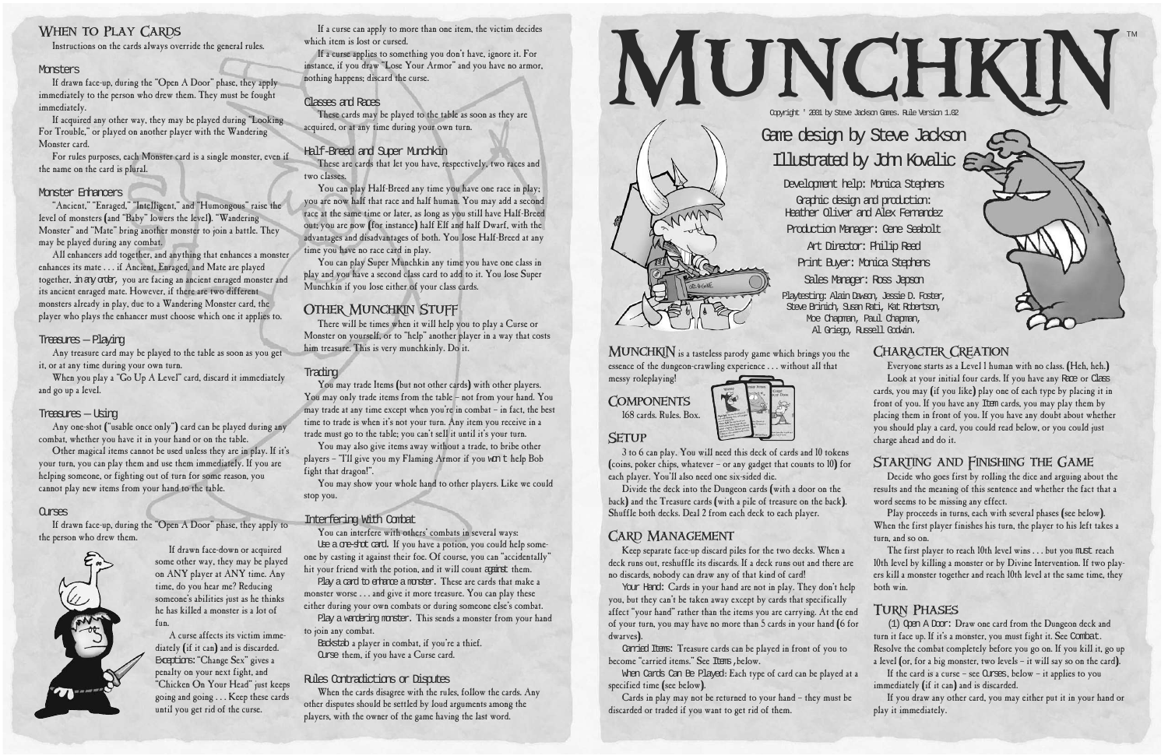MUNCHKIN is a tasteless parody game which brings you the essence of the dungeon-crawling experience . . . without all that messy roleplaying!

**COMPONENTS** 168 cards. Rules. Box.



## **SETUP**

3 to 6 can play. You will need this deck of cards and 10 tokens (coins, poker chips, whatever – or any gadget that counts to 10) for each player. You'll also need one six-sided die.

Divide the deck into the Dungeon cards (with a door on the back) and the Treasure cards (with a pile of treasure on the back). Shuffle both decks. Deal 2 from each deck to each player.

# **CARD MANAGEMENT**

Carried Items: Treasure cards can be played in front of you to become "carried items." See Items, below.

When Cards Can Be Played: Each type of card can be played at a specified time (see below).

Keep separate face-up discard piles for the two decks. When a deck runs out, reshuffle its discards. If a deck runs out and there are no discards, nobody can draw any of that kind of card!

Your Hand: Cards in your hand are not in play. They don't help you, but they can't be taken away except by cards that specifically affect "your hand" rather than the items you are carrying. At the end of your turn, you may have no more than 5 cards in your hand (6 for dwarves).

Play proceeds in turns, each with several phases (see below). When the first player finishes his turn, the player to his left takes a turn, and so on.

The first player to reach l0th level wins . . . but you must reach 10th level by killing a monster or by Divine Intervention. If two players kill a monster together and reach 10th level at the same time, they both win.

Cards in play may not be returned to your hand – they must be discarded or traded if you want to get rid of them.

If the card is a curse – see Curses, below – it applies to you immediately (if it can) and is discarded.

If acquired any other way, they may be played during "Looking For Trouble," or played on another player with the Wandering Monster card.

> Everyone starts as a Level 1 human with no class. (Heh, heh.) Look at your initial four cards. If you have any Race or Class cards, you may (if you like) play one of each type by placing it in front of you. If you have any Item cards, you may play them by placing them in front of you. If you have any doubt about whether you should play a card, you could read below, or you could just charge ahead and do it.

# STARTING AND FINISHING THE GAME

Decide who goes first by rolling the dice and arguing about the results and the meaning of this sentence and whether the fact that a word seems to be missing any effect.

## Turn Phases

(1) Open A Door: Draw one card from the Dungeon deck and turn it face up. If it's a monster, you must fight it. See Combat. Resolve the combat completely before you go on. If you kill it, go up a level (or, for a big monster, two levels – it will say so on the card).

These are cards that let you have, respectively, two races and two classes.

> If you draw any other card, you may either put it in your hand or play it immediately.

# WHEN TO PLAY CARDS

Instructions on the cards always override the general rules.

### **Monsters**

If drawn face-up, during the "Open A Door" phase, they apply immediately to the person who drew them. They must be fought immediately.

For rules purposes, each Monster card is a single monster, even if the name on the card is plural.

### Monster Enhancers

You may trade Items (but not other cards) with other players. You may only trade items from the table – not from your hand. You may trade at any time except when you're in combat – in fact, the best time to trade is when it's not your turn. Any item you receive in a trade must go to the table; you can't sell it until it's your turn.

"Ancient," "Enraged," "Intelligent," and "Humongous" raise the level of monsters (and "Baby" lowers the level). "Wandering Monster" and "Mate" bring another monster to join a battle. They may be played during any combat.

> Use a cre-shot card. If you have a potion, you could help someone by casting it against their foe. Of course, you can "accidentally" hit your friend with the potion, and it will count against them.

Play a card to erhance a monster. These are cards that make a monster worse . . . and give it more treasure. You can play these either during your own combats or during someone else's combat.

Play a wardering monster. This sends a monster from your hand to join any combat.

All enhancers add together, and anything that enhances a monster enhances its mate . . . if Ancient, Enraged, and Mate are played together, in any order, you are facing an ancient enraged monster and its ancient enraged mate. However, if there are two different monsters already in play, due to a Wandering Monster card, the player who plays the enhancer must choose which one it applies to.

### Treasures — Playing

Any treasure card may be played to the table as soon as you get it, or at any time during your own turn.

When you play a "Go Up A Level" card, discard it immediately and go up a level.

#### Treasures — Using

Any one-shot ("usable once only") card can be played during any combat, whether you have it in your hand or on the table.

Other magical items cannot be used unless they are in play. If it's your turn, you can play them and use them immediately. If you are helping someone, or fighting out of turn for some reason, you cannot play new items from your hand to the table.

#### **Currens**

If drawn face-up, during the "Open A Door" phase, they apply to the person who drew them.



If drawn face-down or acquired some other way, they may be played on ANY player at ANY time. Any time, do you hear me? Reducing someone's abilities just as he thinks he has killed a monster is a lot offun.

A curse affects its victim immediately (if it can) and is discarded. Exceptions:"Change Sex" gives a penalty on your next fight, and "Chicken On Your Head" just keeps going and going . . . Keep these cards until you get rid of the curse.

If a curse can apply to more than one item, the victim decides which item is lost or cursed.

If a curse applies to something you don't have, ignore it. For instance, if you draw "Lose Your Armor" and you have no armor, nothing happens; discard the curse.

### Classes and Races

These cards may be played to the table as soon as they are acquired, or at any time during your own turn.

### Half-Breed and Super Munchkin

You can play Half-Breed any time you have one race in play; you are now half that race and half human. You may add a second race at the same time or later, as long as you still have Half-Breed out; you are now (for instance) half Elf and half Dwarf, with the advantages and disadvantages of both. You lose Half-Breed at any time you have no race card in play.

You can play Super Munchkin any time you have one class in play and you have a second class card to add to it. You lose Super Munchkin if you lose either of your class cards.

## Other Munchkin Stuff

There will be times when it will help you to play a Curse or Monster on yourself, or to "help" another player in a way that costs him treasure. This is very munchkinly. Do it.

### **Trading**

You may also give items away without a trade, to bribe other players - "I'll give you my Flaming Armor if you w ${\tt n}$ t help Bob fight that dragon!".

You may show your whole hand to other players. Like we could stop you.

### Interfering With Combat

You can interfere with others' combats in several ways:

Backstab a player in combat, if you're a thief. Curse them, if you have a Curse card.

### Rules Contradictions or Disputes

When the cards disagree with the rules, follow the cards. Any other disputes should be settled by loud arguments among the players, with the owner of the game having the last word.





## CHARACTER CREATION

Al Griego, Russell Godwin.